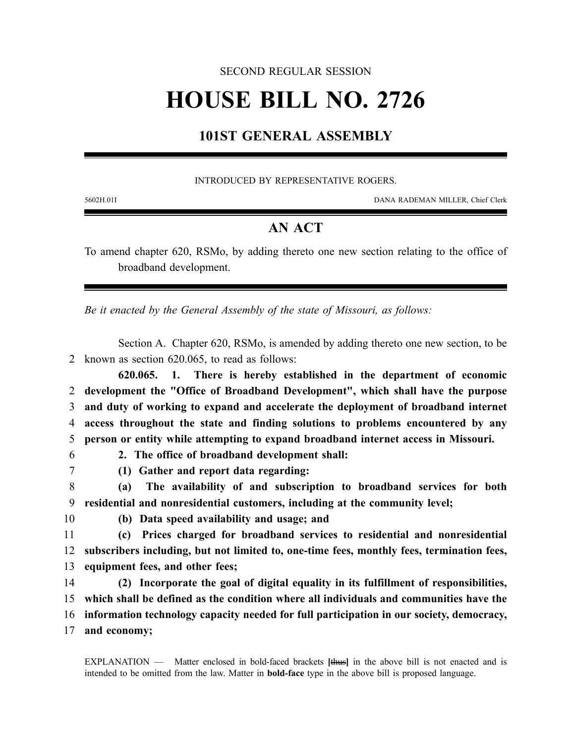#### SECOND REGULAR SESSION

# **HOUSE BILL NO. 2726**

## **101ST GENERAL ASSEMBLY**

#### INTRODUCED BY REPRESENTATIVE ROGERS.

5602H.01I DANA RADEMAN MILLER, Chief Clerk

### **AN ACT**

To amend chapter 620, RSMo, by adding thereto one new section relating to the office of broadband development.

*Be it enacted by the General Assembly of the state of Missouri, as follows:*

Section A. Chapter 620, RSMo, is amended by adding thereto one new section, to be 2 known as section 620.065, to read as follows:

**620.065. 1. There is hereby established in the department of economic development the "Office of Broadband Development", which shall have the purpose and duty of working to expand and accelerate the deployment of broadband internet access throughout the state and finding solutions to problems encountered by any person or entity while attempting to expand broadband internet access in Missouri.**

- 
- 6 **2. The office of broadband development shall:**
- 7 **(1) Gather and report data regarding:**

8 **(a) The availability of and subscription to broadband services for both** 9 **residential and nonresidential customers, including at the community level;**

- 
- 10 **(b) Data speed availability and usage; and**

11 **(c) Prices charged for broadband services to residential and nonresidential** 12 **subscribers including, but not limited to, one-time fees, monthly fees, termination fees,** 13 **equipment fees, and other fees;**

14 **(2) Incorporate the goal of digital equality in its fulfillment of responsibilities,** 15 **which shall be defined as the condition where all individuals and communities have the**

- 16 **information technology capacity needed for full participation in our society, democracy,**
- 17 **and economy;**

EXPLANATION — Matter enclosed in bold-faced brackets **[**thus**]** in the above bill is not enacted and is intended to be omitted from the law. Matter in **bold-face** type in the above bill is proposed language.